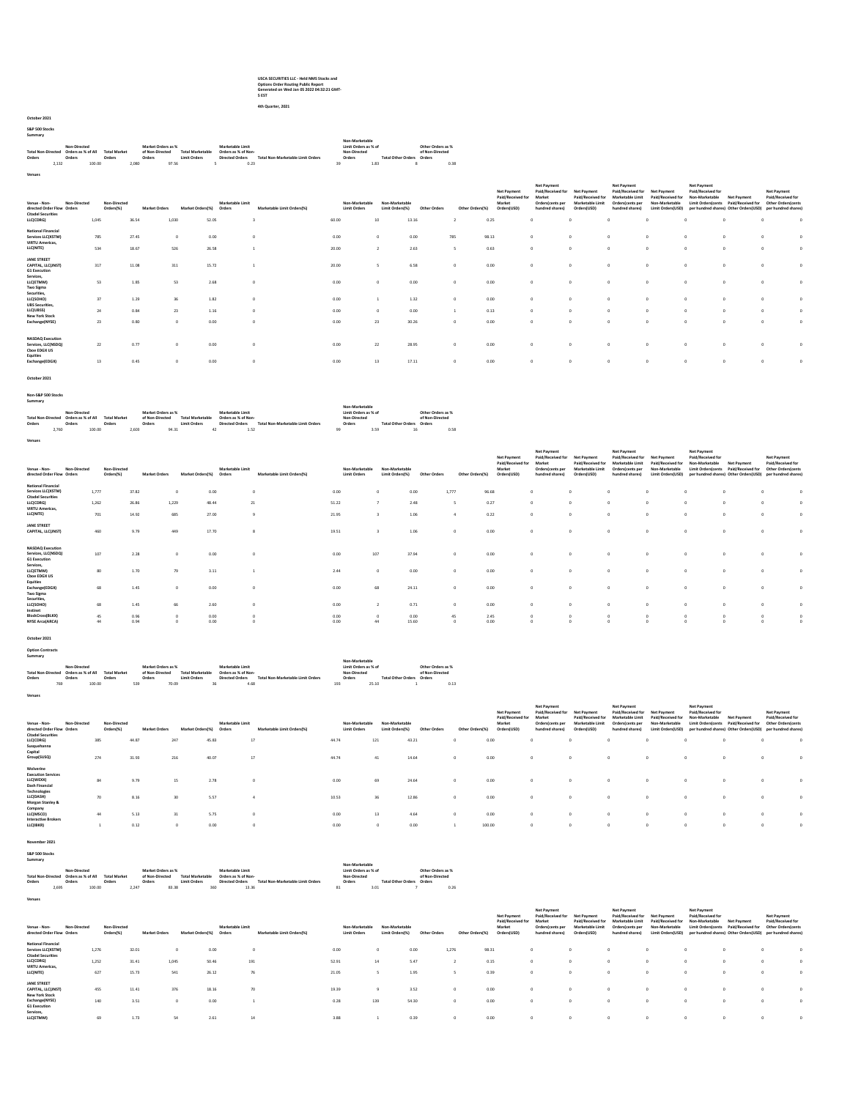## USCA SECURITIES LLC - Held NMS Stocks and Options Order Routing Public Report Generated on Wed Jan 05 2022 04:32:21 GMT-5 EST

4th Quarter, 2021

## October 2021 S&P 500 Stocks

Summary Total Non-Directed Orders Non-Directed Orders as % of All Orders Total Market Orders Market Orders as % of Non-Directed Orders Total Marketable Limit Orders Marketable Limit Orders as % of Non-Directed Orders Total Non-Marketable Limit Orders Non-Marketable Limit Orders as % of Non-Directed Orders Total Other Orders Non-Others Manáct Orders and Manét Manétatols.lumit Manétatols (Imit Orders 2-15d<br>2, Orders Orders - Orders Directed Total Manétatols Orders Total Non-Directed (International Orders Orders 1<br>2,132 100.00 2,080 97.56 5 0.23

| Venues                                                                                               |                                    |                               |                           |                                     |                            |                                                |                                         |                       |                        |                                                                   |                                                                                             |                                                                            |                                                                                             |                                                                                     |                                                                                 |                                                                                              |                                                                                      |          |
|------------------------------------------------------------------------------------------------------|------------------------------------|-------------------------------|---------------------------|-------------------------------------|----------------------------|------------------------------------------------|-----------------------------------------|-----------------------|------------------------|-------------------------------------------------------------------|---------------------------------------------------------------------------------------------|----------------------------------------------------------------------------|---------------------------------------------------------------------------------------------|-------------------------------------------------------------------------------------|---------------------------------------------------------------------------------|----------------------------------------------------------------------------------------------|--------------------------------------------------------------------------------------|----------|
| Non-Directed<br>Venue - Non-<br>directed Order Flow Orders<br><b>Citadel Securities</b><br>LLC(CDRG) | Non-Directed<br>Orders(%)<br>1.045 | <b>Market Orders</b><br>36.54 | Market Orders(%)<br>1.030 | Marketable Limit<br>Orders<br>52.05 | Marketable Limit Orders(%) | Non-Marketable<br><b>Limit Orders</b><br>60.00 | Non-Marketable<br>Limit Orders(%)<br>10 | Other Orders<br>13.16 | Other Orders(%)        | Net Payment<br>Paid/Received for<br>Market<br>Orders(USD)<br>0.25 | Net Payment<br>Paid/Received for<br>Market<br>Orders(cents per<br>hundred shares)<br>$\sim$ | Net Payment<br>Paid/Received for<br><b>Marketable Limit</b><br>Orders(USD) | Net Payment<br>Paid/Received for<br>Marketable Limit<br>Orders/cents per<br>hundred shares) | Net Payment<br>Paid/Received for<br>Non-Marketable<br>Limit Orders(USD)<br>$\Delta$ | Net Payment<br>Paid/Received for<br>Non-Marketable<br><b>Limit Orders/cents</b> | <b>Net Payment</b><br>Paid/Received for<br>per hundred shares) Other Orders(USD)<br>$\Omega$ | <b>Net Payment</b><br>Paid/Received for<br>Other Orders(cents<br>per hundred shares) | $\Omega$ |
| <b>National Financial</b><br>Services LLC(XSTM)<br><b>VIRTU Americas.</b><br>LLC(NITE)               | 785<br>534                         | 27.45<br>18.67                | $^{\circ}$<br>526         | 0.00<br>26.58                       |                            | 0.00<br>20.00                                  | $^{\circ}$                              | 0.00<br>2.63          | 785<br>$\sim$          | 98.13<br>0.63                                                     | $\circ$<br>$\Omega$                                                                         |                                                                            | $^{\circ}$<br>$\Omega$                                                                      | $\circ$<br>$\Omega$                                                                 |                                                                                 | $^{\circ}$<br>$\Omega$                                                                       |                                                                                      |          |
| JANE STREET<br>CAPITAL, LLC(JNST)<br><b>G1 Execution</b><br>Services,                                | 317                                | 11.08                         | 311                       | 15.72                               |                            | 20.00                                          |                                         | 6.58                  | $\Omega$               | 0.00                                                              | $\sim$                                                                                      |                                                                            | $\circ$                                                                                     | $\Omega$                                                                            |                                                                                 | $\Omega$<br>o                                                                                |                                                                                      |          |
| LLC(ETMM)<br>Two Sigma<br>Securities,<br>LLC(SOHO)                                                   | 53<br>37                           | 1.85<br>1.29                  | 53<br>36                  | 2.68<br>1.82                        |                            | 0.00<br>0.00                                   | n                                       | 0.00<br>1.32          | $^{\circ}$<br>$\Omega$ | 0.00<br>0.00                                                      | $\Omega$<br>$\Omega$                                                                        |                                                                            | $\Omega$<br>$\Omega$                                                                        | $\Omega$<br>$\Omega$                                                                |                                                                                 | <b>O</b>                                                                                     |                                                                                      |          |
| <b>UBS Securities.</b><br>LLC(UBSS)<br><b>New York Stock</b><br>Exchange(NYSE)                       | 24<br>23                           | 0.84<br>0.80                  | 23<br>$\sim$              | 1.16<br>0.00                        |                            | 0.00<br>0.00                                   | $\circ$<br>23                           | 0.00<br>30.26         | $\Omega$               | 0.13<br>0.00                                                      | $\sim$<br>$\Omega$                                                                          |                                                                            | $\Omega$                                                                                    | $\Omega$<br>$\Delta$                                                                |                                                                                 | $\Omega$<br><b>O</b>                                                                         |                                                                                      | n        |
| <b>NASDAO</b> Execution<br>Services, LLC(NSDQ)<br><b>Choe EDGX US</b>                                | 22                                 | 0.77                          | $\Omega$                  | 0.00                                |                            | 0.00                                           | 22                                      | 28.95                 | $\Omega$               | 0.00                                                              | $\Omega$                                                                                    |                                                                            | $\Omega$                                                                                    | $\Omega$                                                                            |                                                                                 |                                                                                              |                                                                                      |          |
| Equities<br>Exchange(EDGX)                                                                           | 13                                 | 0.45                          | $\Omega$                  | 0.00                                |                            | 0.00                                           | 13                                      | 17.11                 | $\circ$                | 0.00                                                              | $\circ$                                                                                     |                                                                            | $\circ$                                                                                     | $^{\circ}$                                                                          |                                                                                 | $\Omega$<br>$\Omega$                                                                         |                                                                                      |          |

October 2021

Non-S&P 500 Stocks Summary

|                                       |       | Non-Directed |        |                     |       | Market Orders as % |       |                         | Marketable Limit       |                                   |    | Non-Marketable<br>Limit Orders as % of |      |                                  | Other Orders as % |      |
|---------------------------------------|-------|--------------|--------|---------------------|-------|--------------------|-------|-------------------------|------------------------|-----------------------------------|----|----------------------------------------|------|----------------------------------|-------------------|------|
| Total Non-Directed Orders as % of All |       |              |        | <b>Total Market</b> |       | of Non-Directed    |       | <b>Total Marketable</b> | Orders as % of Non-    |                                   |    | Non-Directed                           |      |                                  | of Non-Directed   |      |
| Orders                                |       | Orders       |        | Orders              |       | Orders             |       | <b>Limit Orders</b>     | <b>Directed Orders</b> | Total Non-Marketable Limit Orders |    | Orders                                 |      | <b>Total Other Orders Orders</b> |                   |      |
|                                       | 2.760 |              | 100.00 |                     | 2.603 |                    | 94.31 |                         | 1.52                   |                                   | 99 |                                        | 3.59 | 16                               |                   | 0.58 |
|                                       |       |              |        |                     |       |                    |       |                         |                        |                                   |    |                                        |      |                                  |                   |      |
| Venues                                |       |              |        |                     |       |                    |       |                         |                        |                                   |    |                                        |      |                                  |                   |      |

| Non-Directed<br>Venue - Non-<br>directed Order Flow Orders                                | Non-Directed<br>Orders(%) |                | <b>Market Orders</b> | Market Orders(%) | Marketable Limit<br>Orders | Marketable Limit Orders(%) |               | Non-Marketable<br><b>Limit Orders</b> | Non-Marketable<br>Limit Orders(%) | Other Orders  | Other Orders(%) | <b>Net Payment</b><br>Paid/Received for<br>Market<br>Orders(USD) | Net Payment<br>Paid/Received for<br>Market<br>Orders(cents per<br>hundred shares) | Net Payment<br>Paid/Received for<br>Marketable Limit<br>Orders(USD) | <b>Net Payment</b><br>Paid/Received for<br>Marketable Limit<br>Orders/cents per<br>hundred shares) | Net Payment<br>Paid/Received for<br>Non-Marketable<br>Limit Orders(USD) | Net Payment<br>Paid/Received for<br>Non-Marketable<br><b>Limit Orders/cents</b><br>per hundred shares) Other Orders(USD) | Net Payment<br>Paid/Received for | <b>Net Payment</b><br>Paid/Received for<br>Other Orders cents<br>per hundred shares! |  |
|-------------------------------------------------------------------------------------------|---------------------------|----------------|----------------------|------------------|----------------------------|----------------------------|---------------|---------------------------------------|-----------------------------------|---------------|-----------------|------------------------------------------------------------------|-----------------------------------------------------------------------------------|---------------------------------------------------------------------|----------------------------------------------------------------------------------------------------|-------------------------------------------------------------------------|--------------------------------------------------------------------------------------------------------------------------|----------------------------------|--------------------------------------------------------------------------------------|--|
| <b>National Financial</b><br>Services LLC(XSTM)<br><b>Citadel Securities</b><br>LLC(CDRG) | 1,777<br>1,262            | 37.82<br>26.86 | $^{\circ}$<br>1,229  | 0.00<br>48.44    | 21                         | $\Omega$                   | 0.00<br>51.22 |                                       |                                   | 0.00<br>2.48  | 1,777           | 96.68<br>0.27                                                    | $\sim$                                                                            |                                                                     |                                                                                                    | $\Omega$<br>$\theta$                                                    |                                                                                                                          |                                  | $\Delta$                                                                             |  |
| <b>VIRTU Americas.</b><br>LLC(NITE)                                                       | 701                       | 14.92          | 685                  | 27.00            |                            |                            | 21.95         |                                       |                                   | 1.06          |                 | 0.22                                                             |                                                                                   |                                                                     |                                                                                                    | $\theta$                                                                |                                                                                                                          |                                  |                                                                                      |  |
| JANE STREET<br>CAPITAL, LLC(JNST)                                                         | 460                       | 9.79           | 449                  | 17.70            |                            |                            | 19.51         |                                       |                                   | 1.06          | $\Omega$        | 0.00                                                             |                                                                                   |                                                                     |                                                                                                    | $\Omega$                                                                | $\Omega$                                                                                                                 |                                  |                                                                                      |  |
| <b>NASDAQ Execution</b><br>Services, LLC(NSDQ)<br>G1 Execution                            | 107                       | 2.28           | $\Omega$             | 0.00             |                            | $^{\circ}$                 | 0.00          | 107                                   |                                   | 37.94         | C.              | 0.00                                                             |                                                                                   |                                                                     |                                                                                                    | $\Omega$                                                                |                                                                                                                          |                                  |                                                                                      |  |
| Services,<br>LLC(ETMM)<br><b>Choe EDGX US</b>                                             | 80                        | 1.70           | 79                   | 3.11             |                            |                            | 2.44          |                                       |                                   | 0.00          |                 | 0.00                                                             |                                                                                   |                                                                     |                                                                                                    | $\Omega$                                                                |                                                                                                                          |                                  |                                                                                      |  |
| Equities<br>Exchange(EDGX)<br><b>Two Sigma</b><br>Securities,                             | 68                        | 1.45           | $\Omega$             | 0.00             |                            | n                          | 0.00          | 68                                    |                                   | 24.11         | $\Omega$        | 0.00                                                             |                                                                                   |                                                                     |                                                                                                    | $\Omega$                                                                | $\Omega$                                                                                                                 |                                  |                                                                                      |  |
| LLC(SOHO)<br>Instinet                                                                     | 68                        | 1.45           | 66                   | 2.60             |                            | $\Omega$                   | 0.00          |                                       |                                   | 0.71          |                 | 0.00                                                             |                                                                                   |                                                                     |                                                                                                    | $\Delta$                                                                |                                                                                                                          |                                  | $\Delta$                                                                             |  |
| BlockCross(BLKX)<br><b>NYSE Arca(ARCA)</b>                                                | 45<br>44                  | 0.96<br>0.94   | $^{\circ}$<br>$\sim$ | 0.00<br>0.00     | n                          |                            | 0.00<br>0.00  | 44                                    |                                   | 0.00<br>15.60 | 45<br>$\sim$    | 2.45<br>0.00                                                     |                                                                                   |                                                                     |                                                                                                    | $^{\circ}$                                                              | $^{\circ}$                                                                                                               |                                  |                                                                                      |  |
|                                                                                           |                           |                |                      |                  |                            |                            |               |                                       |                                   |               |                 |                                                                  |                                                                                   |                                                                     |                                                                                                    |                                                                         |                                                                                                                          |                                  |                                                                                      |  |

October 2021

Option Contracts Summary

| ______                                |              |        |                     |     |                    |                         |                     |      |                                   |     | Non-Marketable       |       |                           |                   |      |
|---------------------------------------|--------------|--------|---------------------|-----|--------------------|-------------------------|---------------------|------|-----------------------------------|-----|----------------------|-------|---------------------------|-------------------|------|
|                                       | Non-Directed |        |                     |     | Market Orders as % |                         | Marketable Limit    |      |                                   |     | Limit Orders as % of |       |                           | Other Orders as % |      |
| Total Non-Directed Orders as % of All |              |        | <b>Total Market</b> |     | of Non-Directed    | <b>Total Marketable</b> | Orders as % of Non- |      |                                   |     | Non-Directed         |       |                           | of Non-Directed   |      |
| Orders                                | Orders       |        | Orders              |     | Orders             | <b>Limit Orders</b>     | Directed Orders     |      | Total Non-Marketable Limit Orders |     | Orders               |       | Total Other Orders Orders |                   |      |
| 769                                   |              | 100.00 |                     | 539 | 70.09              |                         |                     | 4.68 |                                   | 193 |                      | 25.10 |                           |                   | 0.13 |

Venues

| Venue - Non-<br>directed Order Flow Orders<br><b>Citadel Securities</b>               | Non-Directed | Non-Directed<br>Orders(%) | <b>Market Orders</b> | Market Orders(%) | Marketable Limit<br>Orders | Marketable Limit Orders(%) | Non-Marketable<br><b>Limit Orders</b> | Non-Marketable<br>Limit Orders(%) | Other Orders | Other Orders(%) | <b>Net Payment</b><br>Paid/Received for<br>Market<br>Orders(USD) | <b>Net Payment</b><br>Paid/Received for<br>Market<br>Orders(cents per<br>hundred shares) | Net Payment<br>Paid/Received for<br>Marketable Limit<br>Orders(USD) | <b>Net Payment</b><br>Paid/Received for<br><b>Marketable Limit</b><br>Orders/cents per<br>hundred shares) | Net Payment<br>Paid/Received for<br>Non-Marketable<br>Limit Orders(USD) | <b>Net Payment</b><br>Paid/Received for<br>Non-Marketable<br><b>Limit Orders/cents</b><br>per hundred shares) Other Orders(USD) | Net Payment<br>Paid/Received for | <b>Net Payment</b><br>Paid/Received for<br>Other Orders/cents<br>per hundred shares) |  |
|---------------------------------------------------------------------------------------|--------------|---------------------------|----------------------|------------------|----------------------------|----------------------------|---------------------------------------|-----------------------------------|--------------|-----------------|------------------------------------------------------------------|------------------------------------------------------------------------------------------|---------------------------------------------------------------------|-----------------------------------------------------------------------------------------------------------|-------------------------------------------------------------------------|---------------------------------------------------------------------------------------------------------------------------------|----------------------------------|--------------------------------------------------------------------------------------|--|
| LLC(CDRG)                                                                             |              | 385                       | 44.87                | 247              | 45.83                      | 17                         | 44.74                                 | 121                               | 43.21        |                 | 0.00                                                             |                                                                                          | $^{\circ}$                                                          |                                                                                                           | $\Omega$                                                                |                                                                                                                                 |                                  |                                                                                      |  |
| Susquehanna                                                                           |              |                           |                      |                  |                            |                            |                                       |                                   |              |                 |                                                                  |                                                                                          |                                                                     |                                                                                                           |                                                                         |                                                                                                                                 |                                  |                                                                                      |  |
| Capital                                                                               |              |                           |                      |                  |                            |                            |                                       |                                   |              |                 |                                                                  |                                                                                          |                                                                     |                                                                                                           |                                                                         |                                                                                                                                 |                                  |                                                                                      |  |
| Group(SUSQ)                                                                           |              | 274                       | 31.93                | 216              | 40.07                      | 17                         | 44.74                                 | 41                                | 14.64        |                 | 0.00                                                             |                                                                                          | $^{\circ}$                                                          |                                                                                                           | $\Omega$                                                                |                                                                                                                                 |                                  |                                                                                      |  |
| Wolverine<br><b>Execution Services</b><br>LLC(WEXX)<br>Dash Financial<br>Technologies |              | 84                        | 9.79                 | 15               | 2.78                       |                            | 0.00                                  | 69                                | 24.64        |                 | 0.00                                                             |                                                                                          | $^{\circ}$                                                          |                                                                                                           | $\Omega$                                                                | $\Omega$                                                                                                                        |                                  |                                                                                      |  |
| LLC(DASH)                                                                             |              | 70                        | 8.16                 | 30               | 5.57                       |                            | 10.53                                 | 36                                | 12.86        |                 | 0.00                                                             |                                                                                          | $^{\circ}$                                                          |                                                                                                           | $\Omega$                                                                | $\Omega$                                                                                                                        |                                  |                                                                                      |  |
| Morgan Stanley &<br>Company<br>LLC(MSCO)<br><b>Interactive Brokers</b>                |              | 44                        | 5.13<br>0.12         | 31               | 5.75<br>0.00               |                            | 0.00<br>0.00                          | 13                                | 4.64<br>0.00 |                 | 0.00<br>100.00                                                   |                                                                                          | $^{\circ}$                                                          |                                                                                                           | $\Omega$<br>$\Omega$                                                    |                                                                                                                                 |                                  |                                                                                      |  |
| LLC(IBKR)                                                                             |              |                           |                      |                  |                            |                            |                                       |                                   |              |                 |                                                                  |                                                                                          |                                                                     |                                                                                                           |                                                                         |                                                                                                                                 |                                  |                                                                                      |  |

November 2021

S&P 500 Stocks Summary

Venues

|                           |       |                    |        |                     |       |                    |                         |     |                        |                                   |    | Non-Marketable       |                           |                   |      |
|---------------------------|-------|--------------------|--------|---------------------|-------|--------------------|-------------------------|-----|------------------------|-----------------------------------|----|----------------------|---------------------------|-------------------|------|
|                           |       | Non-Directed       |        |                     |       | Market Orders as % |                         |     | Marketable Limit       |                                   |    | Limit Orders as % of |                           | Other Orders as % |      |
| <b>Total Non-Directed</b> |       | Orders as % of All |        | <b>Total Market</b> |       | of Non-Directed    | <b>Total Marketable</b> |     | Orders as % of Non-    |                                   |    | Non-Directed         |                           | of Non-Directed   |      |
| Orders                    |       | Orders             |        | Orders              |       | Orders             | <b>Limit Orders</b>     |     | <b>Directed Orders</b> | Total Non-Marketable Limit Orders |    | Orders               | Total Other Orders Orders |                   |      |
|                           | 2.695 |                    | 100.00 |                     | 2.247 | 83.38              |                         | 360 | 13.36                  |                                   | 81 | 3.01                 |                           |                   | 0.26 |

| Venue - Non-<br>directed Order Flow Orders | Non-Directed | Non-Directed<br>Orders(%) | <b>Market Orders</b> | Market Orders(%) | Marketable Limit<br>Orders | Marketable Limit Orders(%) | Non-Marketable<br><b>Limit Orders</b> | Non-Marketable<br>Limit Orders(%) | Other Orders | Other Orders(%) | Net Payment<br>Paid/Received for<br>Market<br>Orders(USD) | Net Payment<br>Paid/Received for<br>Market<br>Orders(cents per<br>hundred shares) | Net Payment<br>Paid/Received for<br>Marketable Limit<br>Orders(USD) | Net Payment<br>Paid/Received for<br><b>Marketable Limit</b><br>Orders/cents per<br>hundred shares) | Net Payment<br>Paid/Received for<br>Non-Marketable<br>Limit Orders(USD) | Net Payment<br>Paid/Received for<br>Non-Marketable<br><b>Limit Orders/cents</b> | Net Payment<br>Paid/Received f<br>per hundred shares) Other Orders(USD) | <b>Net Payment</b><br>Paid/Received for<br>Other Orders/cents<br>per hundred shares) |  |
|--------------------------------------------|--------------|---------------------------|----------------------|------------------|----------------------------|----------------------------|---------------------------------------|-----------------------------------|--------------|-----------------|-----------------------------------------------------------|-----------------------------------------------------------------------------------|---------------------------------------------------------------------|----------------------------------------------------------------------------------------------------|-------------------------------------------------------------------------|---------------------------------------------------------------------------------|-------------------------------------------------------------------------|--------------------------------------------------------------------------------------|--|
| National Financial                         |              |                           |                      |                  |                            |                            |                                       |                                   |              |                 |                                                           |                                                                                   |                                                                     |                                                                                                    |                                                                         |                                                                                 |                                                                         |                                                                                      |  |
| Services LLC(XSTM)                         | 1,276        | 32.01                     |                      | $^{\circ}$       | 0.00                       |                            | 0.00                                  |                                   | 0.00         | 1,276           | 98.31                                                     |                                                                                   |                                                                     |                                                                                                    |                                                                         |                                                                                 |                                                                         |                                                                                      |  |
| <b>Citadel Securities</b>                  |              | 31.41                     |                      |                  | 50.46                      | 191                        | 52.91                                 |                                   | 5.47         |                 | 0.15                                                      |                                                                                   |                                                                     |                                                                                                    |                                                                         |                                                                                 |                                                                         |                                                                                      |  |
| LLC(CDRG)<br>VIRTU Americas,               | 1,252        |                           |                      | 1,045            |                            |                            |                                       | 14                                |              |                 |                                                           |                                                                                   |                                                                     |                                                                                                    |                                                                         |                                                                                 |                                                                         |                                                                                      |  |
| LLC(NITE)                                  | 627          | 15.73                     |                      | 541              | 26.12                      | 76                         | 21.05                                 |                                   | 1.95         |                 | 0.39                                                      |                                                                                   |                                                                     |                                                                                                    |                                                                         |                                                                                 |                                                                         |                                                                                      |  |
| JANE STREET                                |              |                           |                      |                  |                            |                            |                                       |                                   |              |                 |                                                           |                                                                                   |                                                                     |                                                                                                    |                                                                         |                                                                                 |                                                                         |                                                                                      |  |
| CAPITAL, LLC(JNST)                         | 455          | 11.41                     |                      | 376              | 18.16                      | 70                         | 19.39                                 |                                   | 3.52         |                 | 0.00                                                      |                                                                                   |                                                                     |                                                                                                    |                                                                         |                                                                                 |                                                                         |                                                                                      |  |
| <b>New York Stock</b>                      |              |                           |                      |                  |                            |                            |                                       |                                   |              |                 |                                                           |                                                                                   |                                                                     |                                                                                                    |                                                                         |                                                                                 |                                                                         |                                                                                      |  |
| Exchange(NYSE)                             |              | 140                       | 3.51                 | $^{\circ}$       | 0.00                       |                            | 0.28                                  | 139                               | 54.30        |                 | 0.00                                                      |                                                                                   |                                                                     |                                                                                                    |                                                                         |                                                                                 |                                                                         |                                                                                      |  |
| G1 Execution<br>Services,                  |              |                           |                      |                  |                            |                            |                                       |                                   |              |                 |                                                           |                                                                                   |                                                                     |                                                                                                    |                                                                         |                                                                                 |                                                                         |                                                                                      |  |
| LLC(ETMM)                                  |              | 69                        | 1.73                 | 54               | 2.61                       | 14                         | 3.88                                  |                                   | 0.39         |                 | 0.00                                                      |                                                                                   |                                                                     |                                                                                                    |                                                                         |                                                                                 |                                                                         |                                                                                      |  |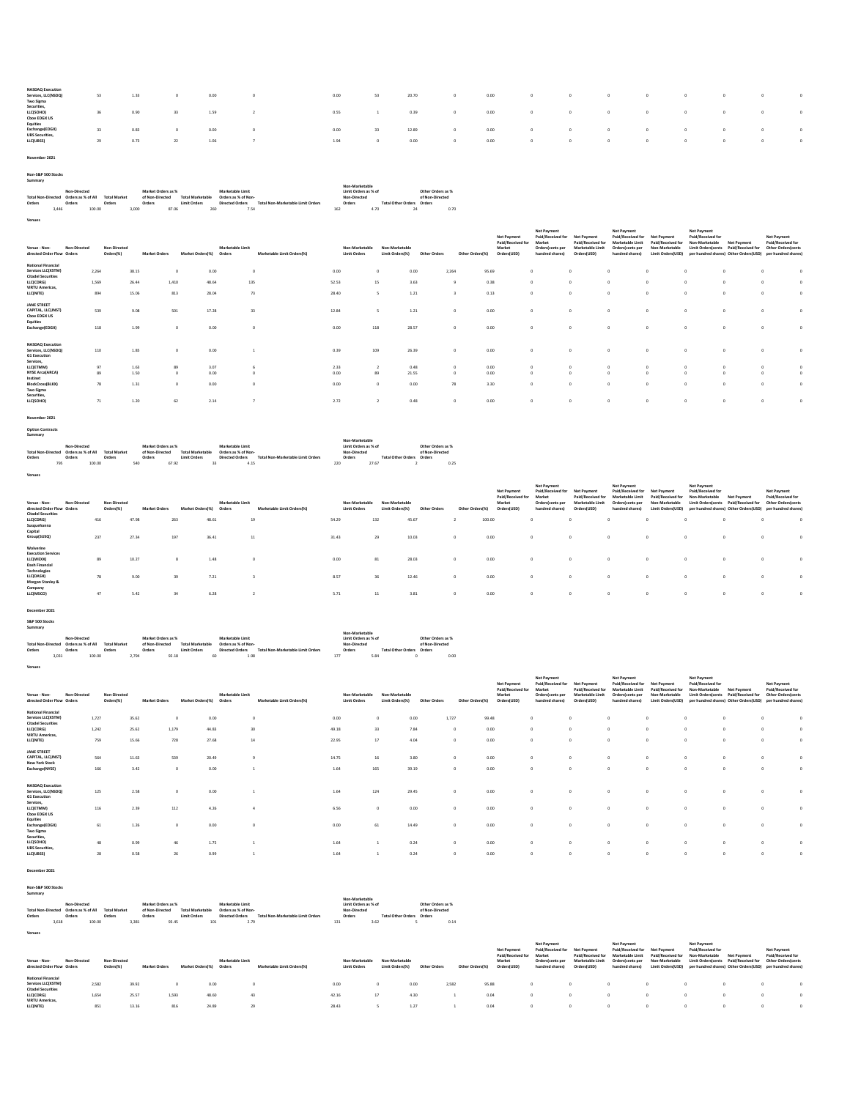| $\circ$           |
|-------------------|
| $\sim$<br>$\circ$ |
|                   |

November 2021

Venues

| Summary                   |                    |        |                     |       |                    |       |                         |     |                        |                                          |     |                      |      |                           |                   |      |
|---------------------------|--------------------|--------|---------------------|-------|--------------------|-------|-------------------------|-----|------------------------|------------------------------------------|-----|----------------------|------|---------------------------|-------------------|------|
|                           |                    |        |                     |       |                    |       |                         |     |                        |                                          |     | Non-Marketable       |      |                           |                   |      |
|                           | Non-Directed       |        |                     |       | Market Orders as % |       |                         |     | Marketable Limit       |                                          |     | Limit Orders as % of |      |                           | Other Orders as % |      |
| <b>Total Non-Directed</b> | Orders as % of All |        | <b>Total Market</b> |       | of Non-Directed    |       | <b>Total Marketable</b> |     | Orders as % of Non-    |                                          |     | Non-Directed         |      |                           | of Non-Directed   |      |
| Orders                    | Orders             |        | Orders              |       | Orders             |       | <b>Limit Orders</b>     |     | <b>Directed Orders</b> | <b>Total Non-Marketable Limit Orders</b> |     | Orders               |      | Total Other Orders Orders |                   |      |
| 3.446                     |                    | 100.00 |                     | 3,000 |                    | 87.06 |                         | 260 | 7.54                   |                                          | 162 |                      | 4.70 | 24                        |                   | 0.70 |
|                           |                    |        |                     |       |                    |       |                         |     |                        |                                          |     |                      |      |                           |                   |      |

| Non-Directed<br>Venue - Non-<br>directed Order Flow Orders                   | Non-Directed<br>Orders(%) |       | <b>Market Orders</b> | Market Orders(%) | Marketable Limit<br>Orders | Marketable Limit Orders(%) | Non-Marketable<br><b>Limit Orders</b> | Non-Marketable<br>Limit Orders(%) | Other Orders | Other Orders(%) | <b>Net Payment</b><br>Paid/Received for<br>Market<br>Orders(USD) | Net Payment<br>Paid/Received for<br>Market<br>Orders(cents per<br>hundred shares) | <b>Net Payment</b><br>Paid/Received for<br><b>Marketable Limit</b><br>Orders(USD) | Net Payment<br>Paid/Received for<br>Marketable Limit<br>Orders/cents per<br>hundred shares) | <b>Net Payment</b><br>Paid/Received for<br>Non-Marketable<br>Limit Orders(USD) | <b>Net Payment</b><br>Paid/Received for<br>Non-Marketable<br><b>Limit Orders/cents</b> | Net Payment<br>Paid/Received for<br>per hundred shares) Other Orders (USD) per hundred shares) | <b>Net Payment</b><br>Paid/Received for<br>Other Orders(cents |                        |
|------------------------------------------------------------------------------|---------------------------|-------|----------------------|------------------|----------------------------|----------------------------|---------------------------------------|-----------------------------------|--------------|-----------------|------------------------------------------------------------------|-----------------------------------------------------------------------------------|-----------------------------------------------------------------------------------|---------------------------------------------------------------------------------------------|--------------------------------------------------------------------------------|----------------------------------------------------------------------------------------|------------------------------------------------------------------------------------------------|---------------------------------------------------------------|------------------------|
| <b>National Financial</b><br>Services LLC(XSTM)<br><b>Citadel Securities</b> | 2.264                     | 38.15 | $\Omega$             | 0.00             |                            |                            | 0.00                                  | 0                                 | 0.00         | 2,264           | 95.69                                                            | $\Omega$                                                                          |                                                                                   |                                                                                             | $\Delta$                                                                       |                                                                                        |                                                                                                |                                                               |                        |
| LLC(CDRG)                                                                    | 1,569                     | 26.44 | 1,410                | 48.64            |                            | 135                        | 52.53                                 | 15                                | 3.63         | $\ddot{q}$      | 0.38                                                             | $\sim$                                                                            |                                                                                   | $\Omega$                                                                                    | $\Omega$                                                                       |                                                                                        |                                                                                                | <b>n</b>                                                      | $\Omega$               |
| <b>VIRTU Americas,</b><br>LLC(NITE)                                          | 894                       | 15.06 | 813                  | 28.04            |                            | 73                         | 28.40                                 |                                   | 1.21         |                 | 0.13                                                             | $\circ$                                                                           |                                                                                   | $\Omega$                                                                                    | $\circ$                                                                        |                                                                                        |                                                                                                |                                                               | n                      |
| JANE STREET<br>CAPITAL, LLC(JNST)<br><b>Choe EDGX US</b>                     | 539                       | 9.08  | 501                  | 17.28            |                            | 33                         | 12.84                                 |                                   | 1.21         | $\Omega$        | 0.00                                                             | $\Omega$                                                                          |                                                                                   | $\Omega$                                                                                    | $\Omega$                                                                       |                                                                                        |                                                                                                |                                                               | n                      |
| Equities<br>Exchange(EDGX)                                                   | 118                       | 1.99  | $\Omega$             | 0.00             |                            |                            | 0.00                                  | 118                               | 28.57        | $\Omega$        | 0.00                                                             | $\sim$                                                                            |                                                                                   | $\Omega$                                                                                    | $\Omega$                                                                       |                                                                                        |                                                                                                |                                                               |                        |
| <b>NASDAO</b> Execution<br>Services, LLC(NSDQ)<br><b>G1 Execution</b>        | 110                       | 1.85  |                      | 0.00             |                            |                            | 0.39                                  | 109                               | 26.39        | $^{\circ}$      | 0.00                                                             | $\circ$                                                                           |                                                                                   |                                                                                             | $\Omega$                                                                       |                                                                                        |                                                                                                |                                                               |                        |
| Services,<br>LLC(ETMM)                                                       |                           |       |                      |                  |                            |                            |                                       |                                   |              |                 |                                                                  |                                                                                   |                                                                                   |                                                                                             |                                                                                |                                                                                        |                                                                                                |                                                               |                        |
| <b>NYSE Arca(ARCA)</b>                                                       | 97                        | 1.63  | 89<br>$\Omega$       | 3.07             |                            |                            | 2.33                                  |                                   | 0.48         | $\circ$         | 0.00                                                             | $\circ$<br>$\Omega$                                                               |                                                                                   | 0                                                                                           | $^{\circ}$<br>$\theta$                                                         |                                                                                        | $^{\circ}$                                                                                     | $\circ$                                                       | $^{\circ}$<br>$\Omega$ |
| Instinet                                                                     | 89                        | 1.50  |                      | 0.00             |                            |                            | 0.00                                  | 89                                | 21.55        | $^{\circ}$      | 0.00                                                             |                                                                                   |                                                                                   |                                                                                             |                                                                                |                                                                                        |                                                                                                |                                                               |                        |
| BlockCross(BLKX)<br><b>Two Sigma</b>                                         | 78                        | 1.31  | $\Omega$             | 0.00             |                            |                            | 0.00                                  | n                                 | 0.00         | 78              | 3.30                                                             | $\sim$                                                                            |                                                                                   | $\Omega$                                                                                    | $\Omega$                                                                       |                                                                                        | $\Omega$                                                                                       | <b>O</b>                                                      | n                      |
| Securities,<br>LLC(SOHO)                                                     | 71                        | 1.20  | 62                   | 2.14             |                            |                            | 2.72                                  |                                   | 0.48         |                 | 0.00                                                             | $\Omega$                                                                          |                                                                                   | $\circ$                                                                                     |                                                                                |                                                                                        |                                                                                                | o                                                             | $^{\circ}$             |

November 2021

Option Contracts Summary

Venues

|                           |                    |                     |                    |                         |                     |                                   | Non-Marketable       |                           |                   |
|---------------------------|--------------------|---------------------|--------------------|-------------------------|---------------------|-----------------------------------|----------------------|---------------------------|-------------------|
|                           | Non-Directed       |                     | Market Orders as % |                         | Marketable Limit    |                                   | Limit Orders as % of |                           | Other Orders as % |
| <b>Total Non-Directed</b> | Orders as % of All | <b>Total Market</b> | of Non-Directed    | <b>Total Marketable</b> | Orders as % of Non- |                                   | Non-Directed         |                           | of Non-Directed   |
| Orders                    | Orders             | Orders              | Orders             | <b>Limit Orders</b>     | Directed Orders     | Total Non-Marketable Limit Orders | Orders               | Total Other Orders Orders |                   |
| 795                       | 100.00             |                     | 67.92<br>540       | 33                      | 4.15                |                                   | 220                  | 27.67                     | 0.25              |

| Venue - Non-<br>Non-Directed<br>directed Order Flow Orders<br><b>Citadel Securities</b> | Orders(%) | Non-Directed | <b>Market Orders</b> | Market Orders(%) | Marketable Limit<br>Orders | Marketable Limit Orders(%) |              | Non-Marketable<br><b>Limit Orders</b> | Non-Marketable<br>Limit Orders(%) | Other Orders  | Other Orders(%) | <b>Net Payment</b><br>Paid/Received fo<br>Market<br>Orders(USD) | Net Payment<br>Paid/Received for<br>Market<br>Orders(cents per<br>hundred shares) | <b>Net Payment</b><br>Paid/Received for<br>Marketable Limi<br>Orders(USD) | Net Payment<br>Paid/Received for<br>Marketable Limit<br>Orders(cents per<br>hundred shares) | Net Payment<br>Non-Marketable<br>Limit Orders(USD) | <b>Net Payment</b><br>Paid/Received for<br>Non-Marketable<br><b>Limit Orders/cents</b> | <b>Net Payment</b><br>Paid/Received<br>per hundred shares) Other Orders(USD) | <b>Net Payment</b><br>Paid/Received for<br>Other Orders/cents<br>per hundred shares) |                 |
|-----------------------------------------------------------------------------------------|-----------|--------------|----------------------|------------------|----------------------------|----------------------------|--------------|---------------------------------------|-----------------------------------|---------------|-----------------|-----------------------------------------------------------------|-----------------------------------------------------------------------------------|---------------------------------------------------------------------------|---------------------------------------------------------------------------------------------|----------------------------------------------------|----------------------------------------------------------------------------------------|------------------------------------------------------------------------------|--------------------------------------------------------------------------------------|-----------------|
| LLC(CDRG)                                                                               | 416       | 47.98        |                      | 263              | 48.61                      | 19                         | 54.29        |                                       | 132                               | 45.67         |                 | 100.00                                                          |                                                                                   | $\circ$                                                                   |                                                                                             |                                                    |                                                                                        |                                                                              |                                                                                      |                 |
| Susquehanna<br>Capital<br>Group(SUSQ)                                                   | 237       | 27.34        |                      | 197              | 36.41                      | 11                         | 31.43        |                                       | 29                                | 10.03         |                 | 0.00                                                            |                                                                                   | $^{\circ}$                                                                |                                                                                             |                                                    | $^{\circ}$                                                                             |                                                                              |                                                                                      | $^{\circ}$      |
| Wolverine<br><b>Execution Services</b><br>LLC(WEXX)<br>Dash Financial<br>Technologies   | 89        | 10.27        |                      | 8                | 1.48                       |                            | 0.00         |                                       | 81                                | 28.03         |                 | 0.00                                                            |                                                                                   | $^{\circ}$                                                                |                                                                                             |                                                    | $^{\circ}$                                                                             |                                                                              |                                                                                      | n               |
| LLC(DASH)<br>Morgan Stanley &<br>Company<br>LLC(MSCO)                                   | 78<br>47  | 9.00<br>5.42 |                      | 39<br>34         | 7.21<br>6.28               |                            | 8.57<br>5.71 |                                       | 36<br>11                          | 12.46<br>3.81 | $\Omega$        | 0.00<br>0.00                                                    |                                                                                   | $^{\circ}$<br>$\circ$                                                     |                                                                                             | $\Omega$                                           | $^{\circ}$                                                                             |                                                                              |                                                                                      | n<br>$^{\circ}$ |
|                                                                                         |           |              |                      |                  |                            |                            |              |                                       |                                   |               |                 |                                                                 |                                                                                   |                                                                           |                                                                                             |                                                    |                                                                                        |                                                                              |                                                                                      |                 |

December 2021

Venues

| S&P 500 Stocks            |                    |                     |       |                    |                         |    |                        |                                   |     |                      |      |                           |                   |      |
|---------------------------|--------------------|---------------------|-------|--------------------|-------------------------|----|------------------------|-----------------------------------|-----|----------------------|------|---------------------------|-------------------|------|
| Summary                   |                    |                     |       |                    |                         |    |                        |                                   |     |                      |      |                           |                   |      |
|                           |                    |                     |       |                    |                         |    |                        |                                   |     | Non-Marketable       |      |                           |                   |      |
|                           | Non-Directed       |                     |       | Market Orders as % |                         |    | Marketable Limit       |                                   |     | Limit Orders as % of |      |                           | Other Orders as % |      |
| <b>Total Non-Directed</b> | Orders as % of All | <b>Total Market</b> |       | of Non-Directed    | <b>Total Marketable</b> |    | Orders as % of Non-    |                                   |     | Non-Directed         |      |                           | of Non-Directed   |      |
| Orders                    | Orders             | Orders              |       | Orders             | Limit Orders            |    | <b>Directed Orders</b> | Total Non-Marketable Limit Orders |     | Orders               |      | <b>Total Other Orders</b> | Orders            |      |
| 3.031                     |                    | 100.00              | 2.794 | 92.18              |                         | 60 | 1.98                   |                                   | 177 |                      | 5.84 |                           |                   | 0.00 |

| Venue - Non-<br>Non-Directed<br>directed Order Flow Orders                   | Non-Directed<br>Orders(%) | <b>Market Orders</b> | Market Orders(%)  | Marketable Limit<br>Orders | Marketable Limit Orders(%) | Non-Marketable<br><b>Limit Orders</b> | Non-Marketable<br>Limit Orders(%) | Other Orders  | Other Orders(%) | Net Payment<br>Paid/Received for<br>Market<br>Orders(USD) | <b>Net Payment</b><br>Paid/Received for<br>Market<br>Orders(cents per<br>hundred shares) | Net Payment<br>Paid/Received for<br><b>Marketable Limit</b><br>Orders(USD) | <b>Net Payment</b><br>Paid/Received for<br>Marketable Limit<br>Orders/cents per<br>hundred shares) | Net Payment<br>Paid/Received for<br>Non-Marketable<br>Limit Orders(USD) | <b>Net Payment</b><br>Paid/Received for<br>Non-Marketable<br><b>Limit Orders/cents</b><br>per hundred shares) Other Orders(USD) | Net Payment<br>Paid/Received for | <b>Net Payment</b><br>Paid/Received for<br>Other Ordersicents<br>per hundred shares |            |
|------------------------------------------------------------------------------|---------------------------|----------------------|-------------------|----------------------------|----------------------------|---------------------------------------|-----------------------------------|---------------|-----------------|-----------------------------------------------------------|------------------------------------------------------------------------------------------|----------------------------------------------------------------------------|----------------------------------------------------------------------------------------------------|-------------------------------------------------------------------------|---------------------------------------------------------------------------------------------------------------------------------|----------------------------------|-------------------------------------------------------------------------------------|------------|
| <b>National Financial</b><br>Services LLC(XSTM)<br><b>Citadel Securities</b> | 1,727                     | 35.62                | $^{\circ}$        | 0.00                       | n                          | 0.00                                  |                                   | 0.00          | 1,727           | 99.48                                                     |                                                                                          | $\sim$                                                                     |                                                                                                    | $\sim$                                                                  |                                                                                                                                 |                                  |                                                                                     | n          |
| LLC(CDRG)<br><b>VIRTU Americas</b><br>LLC(NITE)                              | 1,242<br>759              | 25.62<br>15.66       | 1,179<br>728      | 44.83<br>27.68             | 30<br>14                   | 49.18<br>22.95                        | 33<br>17                          | 7.84<br>4.04  | $\circ$         | 0.00<br>0.00                                              |                                                                                          | $\circ$<br>$\Omega$                                                        |                                                                                                    | $\Omega$<br>$\Omega$                                                    | $\Omega$<br>$\Omega$                                                                                                            |                                  |                                                                                     | n          |
| JANE STREET<br>CAPITAL, LLC(JNST)<br><b>New York Stock</b><br>Exchange(NYSE) | 564<br>166                | 11.63<br>3.42        | 539<br>$^{\circ}$ | 20.49<br>0.00              |                            | 14.75<br>1.64                         | 16<br>165                         | 3.80<br>39.19 | $\sim$          | 0.00<br>0.00                                              |                                                                                          | $\Omega$<br>$\Omega$                                                       |                                                                                                    | $\Omega$<br>$\Omega$                                                    | $\Omega$<br>$\Omega$                                                                                                            |                                  |                                                                                     |            |
| <b>NASDAO</b> Execution<br>Services, LLC(NSDQ)                               | 125                       | 2.58                 | $^{\circ}$        | 0.00                       |                            | 1.64                                  | 124                               | 29.45         |                 | 0.00                                                      |                                                                                          | $\Omega$                                                                   |                                                                                                    | $\sim$                                                                  |                                                                                                                                 |                                  |                                                                                     |            |
| <b>G1</b> Execution<br>Services,<br>LLC(ETMM)                                | 116                       | 2.39                 | 112               | 4.26                       |                            | 6.56                                  |                                   | 0.00          |                 | 0.00                                                      |                                                                                          | $\Omega$                                                                   |                                                                                                    | $\Omega$                                                                |                                                                                                                                 |                                  |                                                                                     | n          |
| <b>Choe EDGX US</b><br>Equities<br>Exchange(EDGX)<br><b>Two Sigma</b>        | 61                        | 1.26                 | $^{\circ}$        | 0.00                       | $^{\circ}$                 | 0.00                                  | 61                                | 14.49         |                 | 0.00                                                      |                                                                                          | $\Omega$                                                                   |                                                                                                    | $\Omega$                                                                | $\Omega$                                                                                                                        |                                  |                                                                                     |            |
| Securities,<br>LLC(SOHO)<br><b>UBS Securities,</b>                           | 48                        | 0.99                 | 46                | 1.75                       |                            | 1.64                                  |                                   | 0.24          |                 | 0.00                                                      |                                                                                          | $\Omega$                                                                   |                                                                                                    | $\Omega$                                                                |                                                                                                                                 |                                  |                                                                                     | n          |
| LLC(UBSS)                                                                    | 28                        | 0.58                 | 26                | 0.99                       |                            | 1.64                                  |                                   | 0.24          |                 | 0.00                                                      |                                                                                          | $\Omega$                                                                   |                                                                                                    | $\Omega$                                                                | $\Omega$                                                                                                                        |                                  |                                                                                     | $^{\circ}$ |

December 2021

Venues

| Non-S&P 500 Stocks        |       |                    |        |                     |                    |                         |     |                        |                                   |     |                      |                           |                   |      |
|---------------------------|-------|--------------------|--------|---------------------|--------------------|-------------------------|-----|------------------------|-----------------------------------|-----|----------------------|---------------------------|-------------------|------|
| Summary                   |       |                    |        |                     |                    |                         |     |                        |                                   |     |                      |                           |                   |      |
|                           |       |                    |        |                     |                    |                         |     |                        |                                   |     | Non-Marketable       |                           |                   |      |
|                           |       | Non-Directed       |        |                     | Market Orders as % |                         |     | Marketable Limit       |                                   |     | Limit Orders as % of |                           | Other Orders as % |      |
| <b>Total Non-Directed</b> |       | Orders as % of All |        | <b>Total Market</b> | of Non-Directed    | <b>Total Marketable</b> |     | Orders as % of Non-    |                                   |     | Non-Directed         |                           | of Non-Directed   |      |
| Orders                    |       | Orders             | Orders |                     | Orders             | <b>Limit Orders</b>     |     | <b>Directed Orders</b> | Total Non-Marketable Limit Orders |     | Orders               | Total Other Orders Orders |                   |      |
|                           | 3.618 |                    | 100.00 | 3.381               |                    | 93.45                   | 101 | 2.79                   |                                   | 131 | 3.62                 |                           |                   | 0.14 |

| Non-Directed<br>Venue - Non-<br>directed Order Flow Orders                                                                                         | Non-Directed<br>Orders(%) | <b>Market Orders</b>    | Market Orders(%) | Marketable Limit<br>Orders | Marketable Limit Orders(%) | Non-Marketable<br><b>Limit Orders</b> | Non-Marketable<br>Limit Orders(%) | Other Orders         | Other Orders(%) | Net Payment<br>Paid/Received for<br>Market<br>Orders(USD) | Net Payment<br>Paid/Received for<br>Market<br>Orders(cents per<br>hundred shares) | <b>Net Payment</b><br>Paid/Received for<br>Marketable Limit<br>Orders(USD) | Net Payment<br>Paid/Received for Net Payment<br>Marketable Limit<br>Orders/cents per<br>hundred shares) | Paid/Received for<br>Non-Marketable | <b>Net Payment</b><br>Paid/Received for<br>Non-Marketable | Net Payment<br>Limit Orders/cents Paid/Received for | <b>Net Payment</b><br>Paid/Received for<br>Other Orders/cents<br>Limit Orders(USD) per hundred shares) Other Orders(USD) per hundred shares) |
|----------------------------------------------------------------------------------------------------------------------------------------------------|---------------------------|-------------------------|------------------|----------------------------|----------------------------|---------------------------------------|-----------------------------------|----------------------|-----------------|-----------------------------------------------------------|-----------------------------------------------------------------------------------|----------------------------------------------------------------------------|---------------------------------------------------------------------------------------------------------|-------------------------------------|-----------------------------------------------------------|-----------------------------------------------------|----------------------------------------------------------------------------------------------------------------------------------------------|
| National Financial<br>Services LLC(XSTM)<br>2.582<br><b>Citadel Securities</b><br>LLC(CDRG)<br>1.654<br><b>VIRTU Americas.</b><br>851<br>LLC(NITE) |                           | 39.92<br>25.57<br>13.16 | 1,593<br>816     | 0.00<br>48.60<br>24.89     | 43<br>25                   | 0.00<br>42.16<br>28.43                | 17                                | 0.00<br>4.30<br>1.27 | 2,582           | 95.88<br>0.04<br>0.04                                     |                                                                                   |                                                                            |                                                                                                         |                                     |                                                           |                                                     |                                                                                                                                              |

Non-S&P 500 Stocks